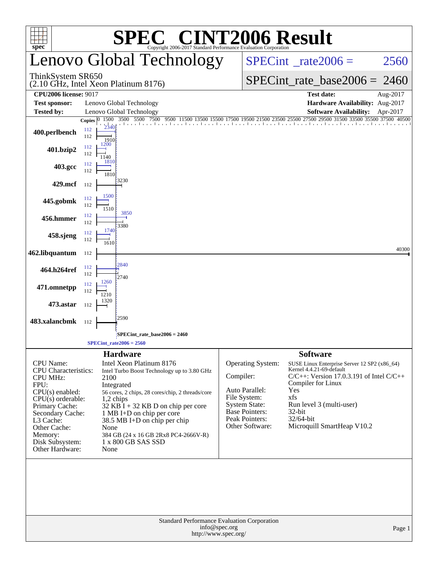|                                                                                                                                                                                                                                            |                            | $\bigcap$                                                                                                                                                                                                                                                                                                                                      | <b>INT2006 Result</b>                                                                                                                                  |                                                                               |                                                                                                                                                                                     |          |  |  |  |
|--------------------------------------------------------------------------------------------------------------------------------------------------------------------------------------------------------------------------------------------|----------------------------|------------------------------------------------------------------------------------------------------------------------------------------------------------------------------------------------------------------------------------------------------------------------------------------------------------------------------------------------|--------------------------------------------------------------------------------------------------------------------------------------------------------|-------------------------------------------------------------------------------|-------------------------------------------------------------------------------------------------------------------------------------------------------------------------------------|----------|--|--|--|
| $spec^*$                                                                                                                                                                                                                                   |                            | Copyright 2006-2017 Standard Performance Evaluation Corporation<br>Lenovo Global Technology                                                                                                                                                                                                                                                    |                                                                                                                                                        | $SPECint^{\circ}$ <sub>_rate2006</sub> =                                      |                                                                                                                                                                                     | 2560     |  |  |  |
| ThinkSystem SR650                                                                                                                                                                                                                          |                            | (2.10 GHz, Intel Xeon Platinum 8176)                                                                                                                                                                                                                                                                                                           |                                                                                                                                                        | $SPECint_rate_base2006 = 2460$                                                |                                                                                                                                                                                     |          |  |  |  |
| <b>CPU2006 license: 9017</b>                                                                                                                                                                                                               |                            |                                                                                                                                                                                                                                                                                                                                                |                                                                                                                                                        |                                                                               | <b>Test date:</b>                                                                                                                                                                   | Aug-2017 |  |  |  |
| <b>Test sponsor:</b>                                                                                                                                                                                                                       |                            | Lenovo Global Technology                                                                                                                                                                                                                                                                                                                       |                                                                                                                                                        |                                                                               | Hardware Availability: Aug-2017                                                                                                                                                     |          |  |  |  |
| <b>Tested by:</b>                                                                                                                                                                                                                          | Copies $ 0 $               | Lenovo Global Technology<br>1500 3500 5500 7500                                                                                                                                                                                                                                                                                                |                                                                                                                                                        |                                                                               | <b>Software Availability:</b>                                                                                                                                                       | Apr-2017 |  |  |  |
| 400.perlbench                                                                                                                                                                                                                              | 2340<br>112<br>112<br>1910 |                                                                                                                                                                                                                                                                                                                                                |                                                                                                                                                        |                                                                               | 9500 11500 13500 15500 17500 19500 21500 21500 22500 27500 29500 31500 33500 35500 37500 40500                                                                                      |          |  |  |  |
| 401.bzip2                                                                                                                                                                                                                                  | 1200<br>112<br>112<br>1140 |                                                                                                                                                                                                                                                                                                                                                |                                                                                                                                                        |                                                                               |                                                                                                                                                                                     |          |  |  |  |
| 403.gcc                                                                                                                                                                                                                                    | 1810<br>112<br>112<br>1810 |                                                                                                                                                                                                                                                                                                                                                |                                                                                                                                                        |                                                                               |                                                                                                                                                                                     |          |  |  |  |
| 429.mcf                                                                                                                                                                                                                                    | 112                        | 3230                                                                                                                                                                                                                                                                                                                                           |                                                                                                                                                        |                                                                               |                                                                                                                                                                                     |          |  |  |  |
| 445.gobmk                                                                                                                                                                                                                                  | 1500<br>112<br>112<br>1510 |                                                                                                                                                                                                                                                                                                                                                |                                                                                                                                                        |                                                                               |                                                                                                                                                                                     |          |  |  |  |
| 456.hmmer                                                                                                                                                                                                                                  | 112<br>112                 | 3850<br>3380                                                                                                                                                                                                                                                                                                                                   |                                                                                                                                                        |                                                                               |                                                                                                                                                                                     |          |  |  |  |
| 458.sjeng                                                                                                                                                                                                                                  | 1740<br>112<br>112<br>1610 |                                                                                                                                                                                                                                                                                                                                                |                                                                                                                                                        |                                                                               |                                                                                                                                                                                     |          |  |  |  |
| 462.libquantum                                                                                                                                                                                                                             | 112                        |                                                                                                                                                                                                                                                                                                                                                |                                                                                                                                                        |                                                                               |                                                                                                                                                                                     | 40300    |  |  |  |
| 464.h264ref                                                                                                                                                                                                                                | 112<br>112                 | 2840<br>2740                                                                                                                                                                                                                                                                                                                                   |                                                                                                                                                        |                                                                               |                                                                                                                                                                                     |          |  |  |  |
| 471.omnetpp                                                                                                                                                                                                                                | 1260<br>112<br>112<br>1210 |                                                                                                                                                                                                                                                                                                                                                |                                                                                                                                                        |                                                                               |                                                                                                                                                                                     |          |  |  |  |
| 473.astar                                                                                                                                                                                                                                  | 1320<br>112                |                                                                                                                                                                                                                                                                                                                                                |                                                                                                                                                        |                                                                               |                                                                                                                                                                                     |          |  |  |  |
| 483.xalancbmk                                                                                                                                                                                                                              | 112                        | 2590                                                                                                                                                                                                                                                                                                                                           |                                                                                                                                                        |                                                                               |                                                                                                                                                                                     |          |  |  |  |
|                                                                                                                                                                                                                                            |                            | SPECint_rate_base2006 = 2460;                                                                                                                                                                                                                                                                                                                  |                                                                                                                                                        |                                                                               |                                                                                                                                                                                     |          |  |  |  |
|                                                                                                                                                                                                                                            |                            | $SPECint\_rate2006 = 2560$                                                                                                                                                                                                                                                                                                                     |                                                                                                                                                        |                                                                               |                                                                                                                                                                                     |          |  |  |  |
| <b>CPU</b> Name:<br><b>CPU</b> Characteristics:<br><b>CPU MHz:</b><br>FPU:<br>$CPU(s)$ enabled:<br>$CPU(s)$ orderable:<br>Primary Cache:<br>Secondary Cache:<br>L3 Cache:<br>Other Cache:<br>Memory:<br>Disk Subsystem:<br>Other Hardware: | 2100<br>None<br>None       | <b>Hardware</b><br>Intel Xeon Platinum 8176<br>Intel Turbo Boost Technology up to 3.80 GHz<br>Integrated<br>56 cores, 2 chips, 28 cores/chip, 2 threads/core<br>$1,2$ chips<br>$32$ KB I + 32 KB D on chip per core<br>1 MB I+D on chip per core<br>38.5 MB I+D on chip per chip<br>384 GB (24 x 16 GB 2Rx8 PC4-2666V-R)<br>1 x 800 GB SAS SSD | Operating System:<br>Compiler:<br>Auto Parallel:<br>File System:<br><b>System State:</b><br><b>Base Pointers:</b><br>Peak Pointers:<br>Other Software: | <b>Software</b><br>Compiler for Linux<br>Yes<br>xfs<br>$32$ -bit<br>32/64-bit | SUSE Linux Enterprise Server 12 SP2 (x86_64)<br>Kernel 4.4.21-69-default<br>$C/C++$ : Version 17.0.3.191 of Intel $C/C++$<br>Run level 3 (multi-user)<br>Microquill SmartHeap V10.2 |          |  |  |  |
|                                                                                                                                                                                                                                            |                            | Standard Performance Evaluation Corporation                                                                                                                                                                                                                                                                                                    | info@spec.org<br>http://www.spec.org/                                                                                                                  |                                                                               |                                                                                                                                                                                     | Page 1   |  |  |  |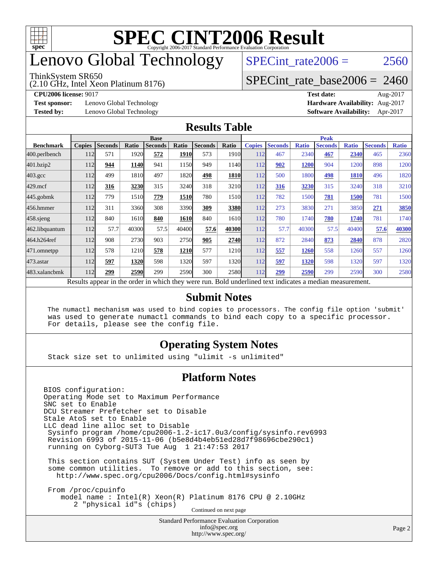

# enovo Global Technology

#### ThinkSystem SR650

(2.10 GHz, Intel Xeon Platinum 8176)

SPECint rate $2006 = 2560$ 

#### [SPECint\\_rate\\_base2006 =](http://www.spec.org/auto/cpu2006/Docs/result-fields.html#SPECintratebase2006) 2460

**[Test sponsor:](http://www.spec.org/auto/cpu2006/Docs/result-fields.html#Testsponsor)** Lenovo Global Technology **[Hardware Availability:](http://www.spec.org/auto/cpu2006/Docs/result-fields.html#HardwareAvailability)** Aug-2017

**[CPU2006 license:](http://www.spec.org/auto/cpu2006/Docs/result-fields.html#CPU2006license)** 9017 **[Test date:](http://www.spec.org/auto/cpu2006/Docs/result-fields.html#Testdate)** Aug-2017 **[Tested by:](http://www.spec.org/auto/cpu2006/Docs/result-fields.html#Testedby)** Lenovo Global Technology **[Software Availability:](http://www.spec.org/auto/cpu2006/Docs/result-fields.html#SoftwareAvailability)** Apr-2017

#### **[Results Table](http://www.spec.org/auto/cpu2006/Docs/result-fields.html#ResultsTable)**

|                                                                                                          | <b>Base</b>   |                |       |                |             |                |               | <b>Peak</b>   |                |              |                |              |                |              |
|----------------------------------------------------------------------------------------------------------|---------------|----------------|-------|----------------|-------------|----------------|---------------|---------------|----------------|--------------|----------------|--------------|----------------|--------------|
| <b>Benchmark</b>                                                                                         | <b>Copies</b> | <b>Seconds</b> | Ratio | <b>Seconds</b> | Ratio       | <b>Seconds</b> | Ratio         | <b>Copies</b> | <b>Seconds</b> | <b>Ratio</b> | <b>Seconds</b> | <b>Ratio</b> | <b>Seconds</b> | <b>Ratio</b> |
| 400.perlbench                                                                                            | 112           | 571            | 1920  | 572            | <b>1910</b> | 573            | 1910 <b> </b> | 112           | 467            | 2340         | 467            | 2340         | 465            | 2360         |
| 401.bzip2                                                                                                | 112           | 944            | 1140  | 941            | 1150        | 949            | 1140          | 112           | 902            | 1200         | 904            | 1200         | 898            | 1200         |
| $403.\mathrm{gcc}$                                                                                       | 112           | 499            | 1810  | 497            | 1820        | 498            | <b>1810</b>   | 112           | 500            | 1800         | 498            | 1810         | 496            | 1820         |
| $429$ .mcf                                                                                               | 112           | 316            | 3230  | 315            | 3240        | 318            | 3210          | 112           | 316            | 3230         | 315            | 3240         | 318            | 3210         |
| $445$ .gobm $k$                                                                                          | 112           | 779            | 1510  | 779            | 1510        | 780            | 1510          | 112           | 782            | 1500         | 781            | 1500         | 781            | 1500         |
| 456.hmmer                                                                                                | 112           | 311            | 3360  | 308            | 3390        | 309            | 3380          | 112           | 273            | 3830         | 271            | 3850         | 271            | 3850         |
| $458$ .sjeng                                                                                             | 112           | 840            | 1610  | 840            | 1610        | 840            | 1610          | 112           | 780            | 1740         | 780            | 1740         | 781            | 1740         |
| 462.libquantum                                                                                           | 112           | 57.7           | 40300 | 57.5           | 40400       | 57.6           | 40300         | 112           | 57.7           | 40300        | 57.5           | 40400        | 57.6           | 40300        |
| 464.h264ref                                                                                              | 112           | 908            | 2730  | 903            | 2750        | 905            | 2740          | 112           | 872            | 2840         | 873            | 2840         | 878            | 2820         |
| 471.omnetpp                                                                                              | 112           | 578            | 1210  | 578            | 1210        | 577            | 1210          | 112           | 557            | 1260         | 558            | 1260         | 557            | 1260         |
| $473$ . astar                                                                                            | 112           | 597            | 1320  | 598            | 1320        | 597            | 1320          | 112           | 597            | 1320         | 598            | 1320         | 597            | 1320         |
| 483.xalancbmk                                                                                            | 112           | 299            | 2590  | 299            | 2590        | 300            | 2580          | 112           | 299            | 2590         | 299            | 2590         | 300            | 2580         |
| Results appear in the order in which they were run. Bold underlined text indicates a median measurement. |               |                |       |                |             |                |               |               |                |              |                |              |                |              |

#### **[Submit Notes](http://www.spec.org/auto/cpu2006/Docs/result-fields.html#SubmitNotes)**

 The numactl mechanism was used to bind copies to processors. The config file option 'submit' was used to generate numactl commands to bind each copy to a specific processor. For details, please see the config file.

#### **[Operating System Notes](http://www.spec.org/auto/cpu2006/Docs/result-fields.html#OperatingSystemNotes)**

Stack size set to unlimited using "ulimit -s unlimited"

#### **[Platform Notes](http://www.spec.org/auto/cpu2006/Docs/result-fields.html#PlatformNotes)**

BIOS configuration: Operating Mode set to Maximum Performance SNC set to Enable DCU Streamer Prefetcher set to Disable Stale AtoS set to Enable LLC dead line alloc set to Disable Sysinfo program /home/cpu2006-1.2-ic17.0u3/config/sysinfo.rev6993 Revision 6993 of 2015-11-06 (b5e8d4b4eb51ed28d7f98696cbe290c1) running on Cyborg-SUT3 Tue Aug 1 21:47:53 2017 This section contains SUT (System Under Test) info as seen by some common utilities. To remove or add to this section, see: <http://www.spec.org/cpu2006/Docs/config.html#sysinfo> From /proc/cpuinfo model name : Intel(R) Xeon(R) Platinum 8176 CPU @ 2.10GHz 2 "physical id"s (chips) Continued on next page

Standard Performance Evaluation Corporation [info@spec.org](mailto:info@spec.org) <http://www.spec.org/>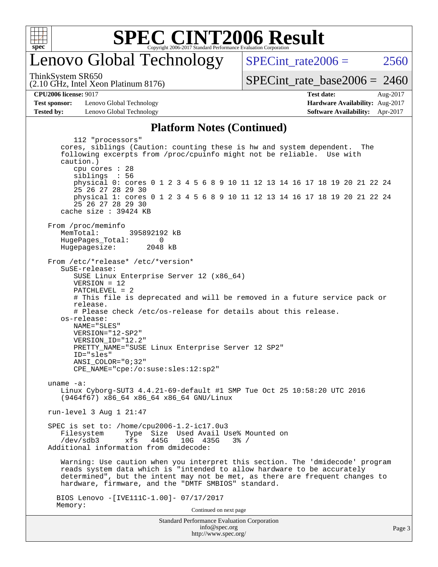

### enovo Global Technology

SPECint rate $2006 = 2560$ 

(2.10 GHz, Intel Xeon Platinum 8176) ThinkSystem SR650

 $SPECint_rate_base2006 = 2460$  $SPECint_rate_base2006 = 2460$ 

**[CPU2006 license:](http://www.spec.org/auto/cpu2006/Docs/result-fields.html#CPU2006license)** 9017 **[Test date:](http://www.spec.org/auto/cpu2006/Docs/result-fields.html#Testdate)** Aug-2017

**[Test sponsor:](http://www.spec.org/auto/cpu2006/Docs/result-fields.html#Testsponsor)** Lenovo Global Technology **[Hardware Availability:](http://www.spec.org/auto/cpu2006/Docs/result-fields.html#HardwareAvailability)** Aug-2017 **[Tested by:](http://www.spec.org/auto/cpu2006/Docs/result-fields.html#Testedby)** Lenovo Global Technology **[Software Availability:](http://www.spec.org/auto/cpu2006/Docs/result-fields.html#SoftwareAvailability)** Apr-2017

#### **[Platform Notes \(Continued\)](http://www.spec.org/auto/cpu2006/Docs/result-fields.html#PlatformNotes)**

Standard Performance Evaluation Corporation 112 "processors" cores, siblings (Caution: counting these is hw and system dependent. The following excerpts from /proc/cpuinfo might not be reliable. Use with caution.) cpu cores : 28 siblings : 56 physical 0: cores 0 1 2 3 4 5 6 8 9 10 11 12 13 14 16 17 18 19 20 21 22 24 25 26 27 28 29 30 physical 1: cores 0 1 2 3 4 5 6 8 9 10 11 12 13 14 16 17 18 19 20 21 22 24 25 26 27 28 29 30 cache size : 39424 KB From /proc/meminfo MemTotal: 395892192 kB HugePages\_Total: 0<br>Hugepagesize: 2048 kB Hugepagesize: From /etc/\*release\* /etc/\*version\* SuSE-release: SUSE Linux Enterprise Server 12 (x86\_64) VERSION = 12 PATCHLEVEL = 2 # This file is deprecated and will be removed in a future service pack or release. # Please check /etc/os-release for details about this release. os-release: NAME="SLES" VERSION="12-SP2" VERSION\_ID="12.2" PRETTY\_NAME="SUSE Linux Enterprise Server 12 SP2" ID="sles" ANSI\_COLOR="0;32" CPE\_NAME="cpe:/o:suse:sles:12:sp2" uname -a: Linux Cyborg-SUT3 4.4.21-69-default #1 SMP Tue Oct 25 10:58:20 UTC 2016 (9464f67) x86\_64 x86\_64 x86\_64 GNU/Linux run-level 3 Aug 1 21:47 SPEC is set to: /home/cpu2006-1.2-ic17.0u3 Filesystem Type Size Used Avail Use% Mounted on<br>
/dev/sdb3 xfs 445G 10G 435G 3% / xfs 445G 10G 435G 3% / Additional information from dmidecode: Warning: Use caution when you interpret this section. The 'dmidecode' program reads system data which is "intended to allow hardware to be accurately determined", but the intent may not be met, as there are frequent changes to hardware, firmware, and the "DMTF SMBIOS" standard. BIOS Lenovo -[IVE111C-1.00]- 07/17/2017 Memory: Continued on next page

[info@spec.org](mailto:info@spec.org) <http://www.spec.org/>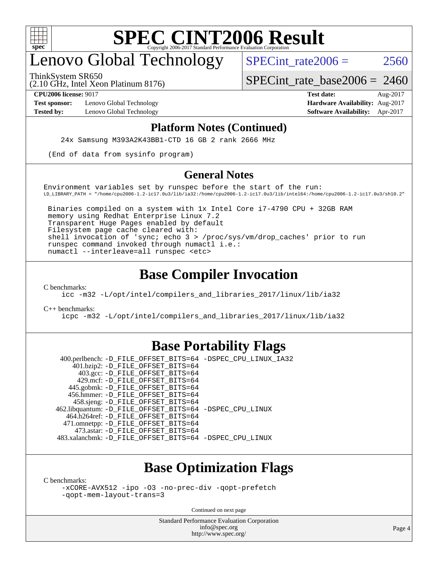

## enovo Global Technology

SPECint rate  $2006 = 2560$ 

ThinkSystem SR650

(2.10 GHz, Intel Xeon Platinum 8176)

[SPECint\\_rate\\_base2006 =](http://www.spec.org/auto/cpu2006/Docs/result-fields.html#SPECintratebase2006) 2460

**[Test sponsor:](http://www.spec.org/auto/cpu2006/Docs/result-fields.html#Testsponsor)** Lenovo Global Technology **[Hardware Availability:](http://www.spec.org/auto/cpu2006/Docs/result-fields.html#HardwareAvailability)** Aug-2017

**[CPU2006 license:](http://www.spec.org/auto/cpu2006/Docs/result-fields.html#CPU2006license)** 9017 **[Test date:](http://www.spec.org/auto/cpu2006/Docs/result-fields.html#Testdate)** Aug-2017 **[Tested by:](http://www.spec.org/auto/cpu2006/Docs/result-fields.html#Testedby)** Lenovo Global Technology **[Software Availability:](http://www.spec.org/auto/cpu2006/Docs/result-fields.html#SoftwareAvailability)** Apr-2017

#### **[Platform Notes \(Continued\)](http://www.spec.org/auto/cpu2006/Docs/result-fields.html#PlatformNotes)**

24x Samsung M393A2K43BB1-CTD 16 GB 2 rank 2666 MHz

(End of data from sysinfo program)

#### **[General Notes](http://www.spec.org/auto/cpu2006/Docs/result-fields.html#GeneralNotes)**

Environment variables set by runspec before the start of the run: LD\_LIBRARY\_PATH = "/home/cpu2006-1.2-ic17.0u3/lib/ia32:/home/cpu2006-1.2-ic17.0u3/lib/intel64:/home/cpu2006-1.2-ic17.0u3/sh10.2"

 Binaries compiled on a system with 1x Intel Core i7-4790 CPU + 32GB RAM memory using Redhat Enterprise Linux 7.2 Transparent Huge Pages enabled by default Filesystem page cache cleared with: shell invocation of 'sync; echo 3 > /proc/sys/vm/drop\_caches' prior to run runspec command invoked through numactl i.e.: numactl --interleave=all runspec <etc>

#### **[Base Compiler Invocation](http://www.spec.org/auto/cpu2006/Docs/result-fields.html#BaseCompilerInvocation)**

[C benchmarks](http://www.spec.org/auto/cpu2006/Docs/result-fields.html#Cbenchmarks):

[icc -m32 -L/opt/intel/compilers\\_and\\_libraries\\_2017/linux/lib/ia32](http://www.spec.org/cpu2006/results/res2017q4/cpu2006-20170918-49800.flags.html#user_CCbase_intel_icc_c29f3ff5a7ed067b11e4ec10a03f03ae)

[C++ benchmarks:](http://www.spec.org/auto/cpu2006/Docs/result-fields.html#CXXbenchmarks)

[icpc -m32 -L/opt/intel/compilers\\_and\\_libraries\\_2017/linux/lib/ia32](http://www.spec.org/cpu2006/results/res2017q4/cpu2006-20170918-49800.flags.html#user_CXXbase_intel_icpc_8c35c7808b62dab9ae41a1aa06361b6b)

#### **[Base Portability Flags](http://www.spec.org/auto/cpu2006/Docs/result-fields.html#BasePortabilityFlags)**

 400.perlbench: [-D\\_FILE\\_OFFSET\\_BITS=64](http://www.spec.org/cpu2006/results/res2017q4/cpu2006-20170918-49800.flags.html#user_basePORTABILITY400_perlbench_file_offset_bits_64_438cf9856305ebd76870a2c6dc2689ab) [-DSPEC\\_CPU\\_LINUX\\_IA32](http://www.spec.org/cpu2006/results/res2017q4/cpu2006-20170918-49800.flags.html#b400.perlbench_baseCPORTABILITY_DSPEC_CPU_LINUX_IA32) 401.bzip2: [-D\\_FILE\\_OFFSET\\_BITS=64](http://www.spec.org/cpu2006/results/res2017q4/cpu2006-20170918-49800.flags.html#user_basePORTABILITY401_bzip2_file_offset_bits_64_438cf9856305ebd76870a2c6dc2689ab) 403.gcc: [-D\\_FILE\\_OFFSET\\_BITS=64](http://www.spec.org/cpu2006/results/res2017q4/cpu2006-20170918-49800.flags.html#user_basePORTABILITY403_gcc_file_offset_bits_64_438cf9856305ebd76870a2c6dc2689ab) 429.mcf: [-D\\_FILE\\_OFFSET\\_BITS=64](http://www.spec.org/cpu2006/results/res2017q4/cpu2006-20170918-49800.flags.html#user_basePORTABILITY429_mcf_file_offset_bits_64_438cf9856305ebd76870a2c6dc2689ab) 445.gobmk: [-D\\_FILE\\_OFFSET\\_BITS=64](http://www.spec.org/cpu2006/results/res2017q4/cpu2006-20170918-49800.flags.html#user_basePORTABILITY445_gobmk_file_offset_bits_64_438cf9856305ebd76870a2c6dc2689ab) 456.hmmer: [-D\\_FILE\\_OFFSET\\_BITS=64](http://www.spec.org/cpu2006/results/res2017q4/cpu2006-20170918-49800.flags.html#user_basePORTABILITY456_hmmer_file_offset_bits_64_438cf9856305ebd76870a2c6dc2689ab) 458.sjeng: [-D\\_FILE\\_OFFSET\\_BITS=64](http://www.spec.org/cpu2006/results/res2017q4/cpu2006-20170918-49800.flags.html#user_basePORTABILITY458_sjeng_file_offset_bits_64_438cf9856305ebd76870a2c6dc2689ab) 462.libquantum: [-D\\_FILE\\_OFFSET\\_BITS=64](http://www.spec.org/cpu2006/results/res2017q4/cpu2006-20170918-49800.flags.html#user_basePORTABILITY462_libquantum_file_offset_bits_64_438cf9856305ebd76870a2c6dc2689ab) [-DSPEC\\_CPU\\_LINUX](http://www.spec.org/cpu2006/results/res2017q4/cpu2006-20170918-49800.flags.html#b462.libquantum_baseCPORTABILITY_DSPEC_CPU_LINUX) 464.h264ref: [-D\\_FILE\\_OFFSET\\_BITS=64](http://www.spec.org/cpu2006/results/res2017q4/cpu2006-20170918-49800.flags.html#user_basePORTABILITY464_h264ref_file_offset_bits_64_438cf9856305ebd76870a2c6dc2689ab) 471.omnetpp: [-D\\_FILE\\_OFFSET\\_BITS=64](http://www.spec.org/cpu2006/results/res2017q4/cpu2006-20170918-49800.flags.html#user_basePORTABILITY471_omnetpp_file_offset_bits_64_438cf9856305ebd76870a2c6dc2689ab) 473.astar: [-D\\_FILE\\_OFFSET\\_BITS=64](http://www.spec.org/cpu2006/results/res2017q4/cpu2006-20170918-49800.flags.html#user_basePORTABILITY473_astar_file_offset_bits_64_438cf9856305ebd76870a2c6dc2689ab) 483.xalancbmk: [-D\\_FILE\\_OFFSET\\_BITS=64](http://www.spec.org/cpu2006/results/res2017q4/cpu2006-20170918-49800.flags.html#user_basePORTABILITY483_xalancbmk_file_offset_bits_64_438cf9856305ebd76870a2c6dc2689ab) [-DSPEC\\_CPU\\_LINUX](http://www.spec.org/cpu2006/results/res2017q4/cpu2006-20170918-49800.flags.html#b483.xalancbmk_baseCXXPORTABILITY_DSPEC_CPU_LINUX)

### **[Base Optimization Flags](http://www.spec.org/auto/cpu2006/Docs/result-fields.html#BaseOptimizationFlags)**

[C benchmarks](http://www.spec.org/auto/cpu2006/Docs/result-fields.html#Cbenchmarks):

[-xCORE-AVX512](http://www.spec.org/cpu2006/results/res2017q4/cpu2006-20170918-49800.flags.html#user_CCbase_f-xCORE-AVX512) [-ipo](http://www.spec.org/cpu2006/results/res2017q4/cpu2006-20170918-49800.flags.html#user_CCbase_f-ipo) [-O3](http://www.spec.org/cpu2006/results/res2017q4/cpu2006-20170918-49800.flags.html#user_CCbase_f-O3) [-no-prec-div](http://www.spec.org/cpu2006/results/res2017q4/cpu2006-20170918-49800.flags.html#user_CCbase_f-no-prec-div) [-qopt-prefetch](http://www.spec.org/cpu2006/results/res2017q4/cpu2006-20170918-49800.flags.html#user_CCbase_f-qopt-prefetch) [-qopt-mem-layout-trans=3](http://www.spec.org/cpu2006/results/res2017q4/cpu2006-20170918-49800.flags.html#user_CCbase_f-qopt-mem-layout-trans_170f5be61cd2cedc9b54468c59262d5d)

Continued on next page

Standard Performance Evaluation Corporation [info@spec.org](mailto:info@spec.org) <http://www.spec.org/>

Page 4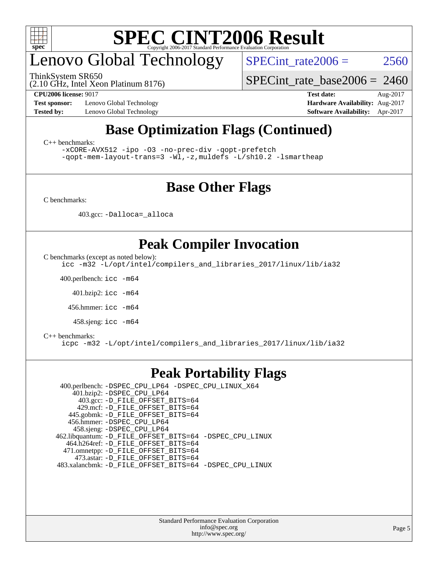

# enovo Global Technology

ThinkSystem SR650

SPECint rate $2006 = 2560$ 

(2.10 GHz, Intel Xeon Platinum 8176)

**[Test sponsor:](http://www.spec.org/auto/cpu2006/Docs/result-fields.html#Testsponsor)** Lenovo Global Technology **[Hardware Availability:](http://www.spec.org/auto/cpu2006/Docs/result-fields.html#HardwareAvailability)** Aug-2017

[SPECint\\_rate\\_base2006 =](http://www.spec.org/auto/cpu2006/Docs/result-fields.html#SPECintratebase2006) 2460

**[CPU2006 license:](http://www.spec.org/auto/cpu2006/Docs/result-fields.html#CPU2006license)** 9017 **[Test date:](http://www.spec.org/auto/cpu2006/Docs/result-fields.html#Testdate)** Aug-2017 **[Tested by:](http://www.spec.org/auto/cpu2006/Docs/result-fields.html#Testedby)** Lenovo Global Technology **[Software Availability:](http://www.spec.org/auto/cpu2006/Docs/result-fields.html#SoftwareAvailability)** Apr-2017

### **[Base Optimization Flags \(Continued\)](http://www.spec.org/auto/cpu2006/Docs/result-fields.html#BaseOptimizationFlags)**

[C++ benchmarks:](http://www.spec.org/auto/cpu2006/Docs/result-fields.html#CXXbenchmarks)

[-xCORE-AVX512](http://www.spec.org/cpu2006/results/res2017q4/cpu2006-20170918-49800.flags.html#user_CXXbase_f-xCORE-AVX512) [-ipo](http://www.spec.org/cpu2006/results/res2017q4/cpu2006-20170918-49800.flags.html#user_CXXbase_f-ipo) [-O3](http://www.spec.org/cpu2006/results/res2017q4/cpu2006-20170918-49800.flags.html#user_CXXbase_f-O3) [-no-prec-div](http://www.spec.org/cpu2006/results/res2017q4/cpu2006-20170918-49800.flags.html#user_CXXbase_f-no-prec-div) [-qopt-prefetch](http://www.spec.org/cpu2006/results/res2017q4/cpu2006-20170918-49800.flags.html#user_CXXbase_f-qopt-prefetch) [-qopt-mem-layout-trans=3](http://www.spec.org/cpu2006/results/res2017q4/cpu2006-20170918-49800.flags.html#user_CXXbase_f-qopt-mem-layout-trans_170f5be61cd2cedc9b54468c59262d5d) [-Wl,-z,muldefs](http://www.spec.org/cpu2006/results/res2017q4/cpu2006-20170918-49800.flags.html#user_CXXbase_link_force_multiple1_74079c344b956b9658436fd1b6dd3a8a) [-L/sh10.2 -lsmartheap](http://www.spec.org/cpu2006/results/res2017q4/cpu2006-20170918-49800.flags.html#user_CXXbase_SmartHeap_b831f2d313e2fffa6dfe3f00ffc1f1c0)

### **[Base Other Flags](http://www.spec.org/auto/cpu2006/Docs/result-fields.html#BaseOtherFlags)**

[C benchmarks](http://www.spec.org/auto/cpu2006/Docs/result-fields.html#Cbenchmarks):

403.gcc: [-Dalloca=\\_alloca](http://www.spec.org/cpu2006/results/res2017q4/cpu2006-20170918-49800.flags.html#b403.gcc_baseEXTRA_CFLAGS_Dalloca_be3056838c12de2578596ca5467af7f3)

### **[Peak Compiler Invocation](http://www.spec.org/auto/cpu2006/Docs/result-fields.html#PeakCompilerInvocation)**

[C benchmarks \(except as noted below\)](http://www.spec.org/auto/cpu2006/Docs/result-fields.html#Cbenchmarksexceptasnotedbelow):

[icc -m32 -L/opt/intel/compilers\\_and\\_libraries\\_2017/linux/lib/ia32](http://www.spec.org/cpu2006/results/res2017q4/cpu2006-20170918-49800.flags.html#user_CCpeak_intel_icc_c29f3ff5a7ed067b11e4ec10a03f03ae)

400.perlbench: [icc -m64](http://www.spec.org/cpu2006/results/res2017q4/cpu2006-20170918-49800.flags.html#user_peakCCLD400_perlbench_intel_icc_64bit_bda6cc9af1fdbb0edc3795bac97ada53)

401.bzip2: [icc -m64](http://www.spec.org/cpu2006/results/res2017q4/cpu2006-20170918-49800.flags.html#user_peakCCLD401_bzip2_intel_icc_64bit_bda6cc9af1fdbb0edc3795bac97ada53)

456.hmmer: [icc -m64](http://www.spec.org/cpu2006/results/res2017q4/cpu2006-20170918-49800.flags.html#user_peakCCLD456_hmmer_intel_icc_64bit_bda6cc9af1fdbb0edc3795bac97ada53)

458.sjeng: [icc -m64](http://www.spec.org/cpu2006/results/res2017q4/cpu2006-20170918-49800.flags.html#user_peakCCLD458_sjeng_intel_icc_64bit_bda6cc9af1fdbb0edc3795bac97ada53)

#### [C++ benchmarks:](http://www.spec.org/auto/cpu2006/Docs/result-fields.html#CXXbenchmarks)

[icpc -m32 -L/opt/intel/compilers\\_and\\_libraries\\_2017/linux/lib/ia32](http://www.spec.org/cpu2006/results/res2017q4/cpu2006-20170918-49800.flags.html#user_CXXpeak_intel_icpc_8c35c7808b62dab9ae41a1aa06361b6b)

#### **[Peak Portability Flags](http://www.spec.org/auto/cpu2006/Docs/result-fields.html#PeakPortabilityFlags)**

 400.perlbench: [-DSPEC\\_CPU\\_LP64](http://www.spec.org/cpu2006/results/res2017q4/cpu2006-20170918-49800.flags.html#b400.perlbench_peakCPORTABILITY_DSPEC_CPU_LP64) [-DSPEC\\_CPU\\_LINUX\\_X64](http://www.spec.org/cpu2006/results/res2017q4/cpu2006-20170918-49800.flags.html#b400.perlbench_peakCPORTABILITY_DSPEC_CPU_LINUX_X64) 401.bzip2: [-DSPEC\\_CPU\\_LP64](http://www.spec.org/cpu2006/results/res2017q4/cpu2006-20170918-49800.flags.html#suite_peakCPORTABILITY401_bzip2_DSPEC_CPU_LP64) 403.gcc: [-D\\_FILE\\_OFFSET\\_BITS=64](http://www.spec.org/cpu2006/results/res2017q4/cpu2006-20170918-49800.flags.html#user_peakPORTABILITY403_gcc_file_offset_bits_64_438cf9856305ebd76870a2c6dc2689ab) 429.mcf: [-D\\_FILE\\_OFFSET\\_BITS=64](http://www.spec.org/cpu2006/results/res2017q4/cpu2006-20170918-49800.flags.html#user_peakPORTABILITY429_mcf_file_offset_bits_64_438cf9856305ebd76870a2c6dc2689ab) 445.gobmk: [-D\\_FILE\\_OFFSET\\_BITS=64](http://www.spec.org/cpu2006/results/res2017q4/cpu2006-20170918-49800.flags.html#user_peakPORTABILITY445_gobmk_file_offset_bits_64_438cf9856305ebd76870a2c6dc2689ab) 456.hmmer: [-DSPEC\\_CPU\\_LP64](http://www.spec.org/cpu2006/results/res2017q4/cpu2006-20170918-49800.flags.html#suite_peakCPORTABILITY456_hmmer_DSPEC_CPU_LP64) 458.sjeng: [-DSPEC\\_CPU\\_LP64](http://www.spec.org/cpu2006/results/res2017q4/cpu2006-20170918-49800.flags.html#suite_peakCPORTABILITY458_sjeng_DSPEC_CPU_LP64) 462.libquantum: [-D\\_FILE\\_OFFSET\\_BITS=64](http://www.spec.org/cpu2006/results/res2017q4/cpu2006-20170918-49800.flags.html#user_peakPORTABILITY462_libquantum_file_offset_bits_64_438cf9856305ebd76870a2c6dc2689ab) [-DSPEC\\_CPU\\_LINUX](http://www.spec.org/cpu2006/results/res2017q4/cpu2006-20170918-49800.flags.html#b462.libquantum_peakCPORTABILITY_DSPEC_CPU_LINUX) 464.h264ref: [-D\\_FILE\\_OFFSET\\_BITS=64](http://www.spec.org/cpu2006/results/res2017q4/cpu2006-20170918-49800.flags.html#user_peakPORTABILITY464_h264ref_file_offset_bits_64_438cf9856305ebd76870a2c6dc2689ab) 471.omnetpp: [-D\\_FILE\\_OFFSET\\_BITS=64](http://www.spec.org/cpu2006/results/res2017q4/cpu2006-20170918-49800.flags.html#user_peakPORTABILITY471_omnetpp_file_offset_bits_64_438cf9856305ebd76870a2c6dc2689ab) 473.astar: [-D\\_FILE\\_OFFSET\\_BITS=64](http://www.spec.org/cpu2006/results/res2017q4/cpu2006-20170918-49800.flags.html#user_peakPORTABILITY473_astar_file_offset_bits_64_438cf9856305ebd76870a2c6dc2689ab) 483.xalancbmk: [-D\\_FILE\\_OFFSET\\_BITS=64](http://www.spec.org/cpu2006/results/res2017q4/cpu2006-20170918-49800.flags.html#user_peakPORTABILITY483_xalancbmk_file_offset_bits_64_438cf9856305ebd76870a2c6dc2689ab) [-DSPEC\\_CPU\\_LINUX](http://www.spec.org/cpu2006/results/res2017q4/cpu2006-20170918-49800.flags.html#b483.xalancbmk_peakCXXPORTABILITY_DSPEC_CPU_LINUX)

> Standard Performance Evaluation Corporation [info@spec.org](mailto:info@spec.org) <http://www.spec.org/>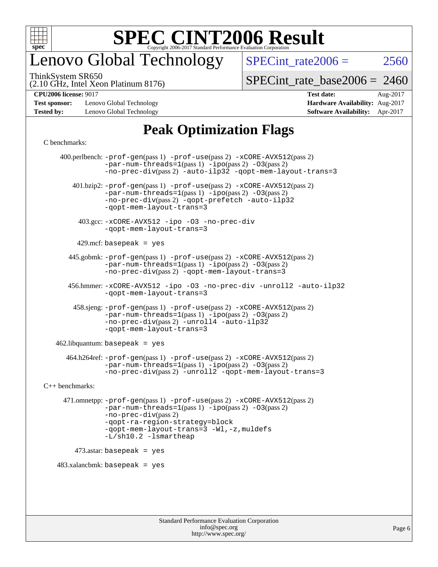

## enovo Global Technology

SPECint rate  $2006 = 2560$ 

(2.10 GHz, Intel Xeon Platinum 8176) ThinkSystem SR650

[SPECint\\_rate\\_base2006 =](http://www.spec.org/auto/cpu2006/Docs/result-fields.html#SPECintratebase2006) 2460

**[CPU2006 license:](http://www.spec.org/auto/cpu2006/Docs/result-fields.html#CPU2006license)** 9017 **[Test date:](http://www.spec.org/auto/cpu2006/Docs/result-fields.html#Testdate)** Aug-2017

**[Test sponsor:](http://www.spec.org/auto/cpu2006/Docs/result-fields.html#Testsponsor)** Lenovo Global Technology **[Hardware Availability:](http://www.spec.org/auto/cpu2006/Docs/result-fields.html#HardwareAvailability)** Aug-2017 **[Tested by:](http://www.spec.org/auto/cpu2006/Docs/result-fields.html#Testedby)** Lenovo Global Technology **[Software Availability:](http://www.spec.org/auto/cpu2006/Docs/result-fields.html#SoftwareAvailability)** Apr-2017

### **[Peak Optimization Flags](http://www.spec.org/auto/cpu2006/Docs/result-fields.html#PeakOptimizationFlags)**

[C benchmarks](http://www.spec.org/auto/cpu2006/Docs/result-fields.html#Cbenchmarks):

 400.perlbench: [-prof-gen](http://www.spec.org/cpu2006/results/res2017q4/cpu2006-20170918-49800.flags.html#user_peakPASS1_CFLAGSPASS1_LDCFLAGS400_perlbench_prof_gen_e43856698f6ca7b7e442dfd80e94a8fc)(pass 1) [-prof-use](http://www.spec.org/cpu2006/results/res2017q4/cpu2006-20170918-49800.flags.html#user_peakPASS2_CFLAGSPASS2_LDCFLAGS400_perlbench_prof_use_bccf7792157ff70d64e32fe3e1250b55)(pass 2) [-xCORE-AVX512](http://www.spec.org/cpu2006/results/res2017q4/cpu2006-20170918-49800.flags.html#user_peakPASS2_CFLAGSPASS2_LDCFLAGS400_perlbench_f-xCORE-AVX512)(pass 2)  $-par-num-threads=1(pass 1) -ipo(pass 2) -O3(pass 2)$  $-par-num-threads=1(pass 1) -ipo(pass 2) -O3(pass 2)$  $-par-num-threads=1(pass 1) -ipo(pass 2) -O3(pass 2)$  $-par-num-threads=1(pass 1) -ipo(pass 2) -O3(pass 2)$  $-par-num-threads=1(pass 1) -ipo(pass 2) -O3(pass 2)$  $-par-num-threads=1(pass 1) -ipo(pass 2) -O3(pass 2)$ [-no-prec-div](http://www.spec.org/cpu2006/results/res2017q4/cpu2006-20170918-49800.flags.html#user_peakPASS2_CFLAGSPASS2_LDCFLAGS400_perlbench_f-no-prec-div)(pass 2) [-auto-ilp32](http://www.spec.org/cpu2006/results/res2017q4/cpu2006-20170918-49800.flags.html#user_peakCOPTIMIZE400_perlbench_f-auto-ilp32) [-qopt-mem-layout-trans=3](http://www.spec.org/cpu2006/results/res2017q4/cpu2006-20170918-49800.flags.html#user_peakCOPTIMIZE400_perlbench_f-qopt-mem-layout-trans_170f5be61cd2cedc9b54468c59262d5d) 401.bzip2: [-prof-gen](http://www.spec.org/cpu2006/results/res2017q4/cpu2006-20170918-49800.flags.html#user_peakPASS1_CFLAGSPASS1_LDCFLAGS401_bzip2_prof_gen_e43856698f6ca7b7e442dfd80e94a8fc)(pass 1) [-prof-use](http://www.spec.org/cpu2006/results/res2017q4/cpu2006-20170918-49800.flags.html#user_peakPASS2_CFLAGSPASS2_LDCFLAGS401_bzip2_prof_use_bccf7792157ff70d64e32fe3e1250b55)(pass 2) [-xCORE-AVX512](http://www.spec.org/cpu2006/results/res2017q4/cpu2006-20170918-49800.flags.html#user_peakPASS2_CFLAGSPASS2_LDCFLAGS401_bzip2_f-xCORE-AVX512)(pass 2) [-par-num-threads=1](http://www.spec.org/cpu2006/results/res2017q4/cpu2006-20170918-49800.flags.html#user_peakPASS1_CFLAGSPASS1_LDCFLAGS401_bzip2_par_num_threads_786a6ff141b4e9e90432e998842df6c2)(pass 1) [-ipo](http://www.spec.org/cpu2006/results/res2017q4/cpu2006-20170918-49800.flags.html#user_peakPASS2_CFLAGSPASS2_LDCFLAGS401_bzip2_f-ipo)(pass 2) [-O3](http://www.spec.org/cpu2006/results/res2017q4/cpu2006-20170918-49800.flags.html#user_peakPASS2_CFLAGSPASS2_LDCFLAGS401_bzip2_f-O3)(pass 2) [-no-prec-div](http://www.spec.org/cpu2006/results/res2017q4/cpu2006-20170918-49800.flags.html#user_peakPASS2_CFLAGSPASS2_LDCFLAGS401_bzip2_f-no-prec-div)(pass 2) [-qopt-prefetch](http://www.spec.org/cpu2006/results/res2017q4/cpu2006-20170918-49800.flags.html#user_peakCOPTIMIZE401_bzip2_f-qopt-prefetch) [-auto-ilp32](http://www.spec.org/cpu2006/results/res2017q4/cpu2006-20170918-49800.flags.html#user_peakCOPTIMIZE401_bzip2_f-auto-ilp32) [-qopt-mem-layout-trans=3](http://www.spec.org/cpu2006/results/res2017q4/cpu2006-20170918-49800.flags.html#user_peakCOPTIMIZE401_bzip2_f-qopt-mem-layout-trans_170f5be61cd2cedc9b54468c59262d5d) 403.gcc: [-xCORE-AVX512](http://www.spec.org/cpu2006/results/res2017q4/cpu2006-20170918-49800.flags.html#user_peakOPTIMIZE403_gcc_f-xCORE-AVX512) [-ipo](http://www.spec.org/cpu2006/results/res2017q4/cpu2006-20170918-49800.flags.html#user_peakOPTIMIZE403_gcc_f-ipo) [-O3](http://www.spec.org/cpu2006/results/res2017q4/cpu2006-20170918-49800.flags.html#user_peakOPTIMIZE403_gcc_f-O3) [-no-prec-div](http://www.spec.org/cpu2006/results/res2017q4/cpu2006-20170918-49800.flags.html#user_peakOPTIMIZE403_gcc_f-no-prec-div) [-qopt-mem-layout-trans=3](http://www.spec.org/cpu2006/results/res2017q4/cpu2006-20170918-49800.flags.html#user_peakCOPTIMIZE403_gcc_f-qopt-mem-layout-trans_170f5be61cd2cedc9b54468c59262d5d)  $429$ .mcf: basepeak = yes 445.gobmk: [-prof-gen](http://www.spec.org/cpu2006/results/res2017q4/cpu2006-20170918-49800.flags.html#user_peakPASS1_CFLAGSPASS1_LDCFLAGS445_gobmk_prof_gen_e43856698f6ca7b7e442dfd80e94a8fc)(pass 1) [-prof-use](http://www.spec.org/cpu2006/results/res2017q4/cpu2006-20170918-49800.flags.html#user_peakPASS2_CFLAGSPASS2_LDCFLAGSPASS2_LDFLAGS445_gobmk_prof_use_bccf7792157ff70d64e32fe3e1250b55)(pass 2) [-xCORE-AVX512](http://www.spec.org/cpu2006/results/res2017q4/cpu2006-20170918-49800.flags.html#user_peakPASS2_CFLAGSPASS2_LDCFLAGSPASS2_LDFLAGS445_gobmk_f-xCORE-AVX512)(pass 2) [-par-num-threads=1](http://www.spec.org/cpu2006/results/res2017q4/cpu2006-20170918-49800.flags.html#user_peakPASS1_CFLAGSPASS1_LDCFLAGS445_gobmk_par_num_threads_786a6ff141b4e9e90432e998842df6c2)(pass 1) [-ipo](http://www.spec.org/cpu2006/results/res2017q4/cpu2006-20170918-49800.flags.html#user_peakPASS2_LDCFLAGS445_gobmk_f-ipo)(pass 2) [-O3](http://www.spec.org/cpu2006/results/res2017q4/cpu2006-20170918-49800.flags.html#user_peakPASS2_LDCFLAGS445_gobmk_f-O3)(pass 2) [-no-prec-div](http://www.spec.org/cpu2006/results/res2017q4/cpu2006-20170918-49800.flags.html#user_peakPASS2_LDCFLAGS445_gobmk_f-no-prec-div)(pass 2) [-qopt-mem-layout-trans=3](http://www.spec.org/cpu2006/results/res2017q4/cpu2006-20170918-49800.flags.html#user_peakCOPTIMIZE445_gobmk_f-qopt-mem-layout-trans_170f5be61cd2cedc9b54468c59262d5d) 456.hmmer: [-xCORE-AVX512](http://www.spec.org/cpu2006/results/res2017q4/cpu2006-20170918-49800.flags.html#user_peakOPTIMIZE456_hmmer_f-xCORE-AVX512) [-ipo](http://www.spec.org/cpu2006/results/res2017q4/cpu2006-20170918-49800.flags.html#user_peakOPTIMIZE456_hmmer_f-ipo) [-O3](http://www.spec.org/cpu2006/results/res2017q4/cpu2006-20170918-49800.flags.html#user_peakOPTIMIZE456_hmmer_f-O3) [-no-prec-div](http://www.spec.org/cpu2006/results/res2017q4/cpu2006-20170918-49800.flags.html#user_peakOPTIMIZE456_hmmer_f-no-prec-div) [-unroll2](http://www.spec.org/cpu2006/results/res2017q4/cpu2006-20170918-49800.flags.html#user_peakCOPTIMIZE456_hmmer_f-unroll_784dae83bebfb236979b41d2422d7ec2) [-auto-ilp32](http://www.spec.org/cpu2006/results/res2017q4/cpu2006-20170918-49800.flags.html#user_peakCOPTIMIZE456_hmmer_f-auto-ilp32) [-qopt-mem-layout-trans=3](http://www.spec.org/cpu2006/results/res2017q4/cpu2006-20170918-49800.flags.html#user_peakCOPTIMIZE456_hmmer_f-qopt-mem-layout-trans_170f5be61cd2cedc9b54468c59262d5d) 458.sjeng: [-prof-gen](http://www.spec.org/cpu2006/results/res2017q4/cpu2006-20170918-49800.flags.html#user_peakPASS1_CFLAGSPASS1_LDCFLAGS458_sjeng_prof_gen_e43856698f6ca7b7e442dfd80e94a8fc)(pass 1) [-prof-use](http://www.spec.org/cpu2006/results/res2017q4/cpu2006-20170918-49800.flags.html#user_peakPASS2_CFLAGSPASS2_LDCFLAGS458_sjeng_prof_use_bccf7792157ff70d64e32fe3e1250b55)(pass 2) [-xCORE-AVX512](http://www.spec.org/cpu2006/results/res2017q4/cpu2006-20170918-49800.flags.html#user_peakPASS2_CFLAGSPASS2_LDCFLAGS458_sjeng_f-xCORE-AVX512)(pass 2) [-par-num-threads=1](http://www.spec.org/cpu2006/results/res2017q4/cpu2006-20170918-49800.flags.html#user_peakPASS1_CFLAGSPASS1_LDCFLAGS458_sjeng_par_num_threads_786a6ff141b4e9e90432e998842df6c2)(pass 1) [-ipo](http://www.spec.org/cpu2006/results/res2017q4/cpu2006-20170918-49800.flags.html#user_peakPASS2_CFLAGSPASS2_LDCFLAGS458_sjeng_f-ipo)(pass 2) [-O3](http://www.spec.org/cpu2006/results/res2017q4/cpu2006-20170918-49800.flags.html#user_peakPASS2_CFLAGSPASS2_LDCFLAGS458_sjeng_f-O3)(pass 2) [-no-prec-div](http://www.spec.org/cpu2006/results/res2017q4/cpu2006-20170918-49800.flags.html#user_peakPASS2_CFLAGSPASS2_LDCFLAGS458_sjeng_f-no-prec-div)(pass 2) [-unroll4](http://www.spec.org/cpu2006/results/res2017q4/cpu2006-20170918-49800.flags.html#user_peakCOPTIMIZE458_sjeng_f-unroll_4e5e4ed65b7fd20bdcd365bec371b81f) [-auto-ilp32](http://www.spec.org/cpu2006/results/res2017q4/cpu2006-20170918-49800.flags.html#user_peakCOPTIMIZE458_sjeng_f-auto-ilp32) [-qopt-mem-layout-trans=3](http://www.spec.org/cpu2006/results/res2017q4/cpu2006-20170918-49800.flags.html#user_peakCOPTIMIZE458_sjeng_f-qopt-mem-layout-trans_170f5be61cd2cedc9b54468c59262d5d)  $462$ .libquantum: basepeak = yes 464.h264ref: [-prof-gen](http://www.spec.org/cpu2006/results/res2017q4/cpu2006-20170918-49800.flags.html#user_peakPASS1_CFLAGSPASS1_LDCFLAGS464_h264ref_prof_gen_e43856698f6ca7b7e442dfd80e94a8fc)(pass 1) [-prof-use](http://www.spec.org/cpu2006/results/res2017q4/cpu2006-20170918-49800.flags.html#user_peakPASS2_CFLAGSPASS2_LDCFLAGS464_h264ref_prof_use_bccf7792157ff70d64e32fe3e1250b55)(pass 2) [-xCORE-AVX512](http://www.spec.org/cpu2006/results/res2017q4/cpu2006-20170918-49800.flags.html#user_peakPASS2_CFLAGSPASS2_LDCFLAGS464_h264ref_f-xCORE-AVX512)(pass 2) [-par-num-threads=1](http://www.spec.org/cpu2006/results/res2017q4/cpu2006-20170918-49800.flags.html#user_peakPASS1_CFLAGSPASS1_LDCFLAGS464_h264ref_par_num_threads_786a6ff141b4e9e90432e998842df6c2)(pass 1) [-ipo](http://www.spec.org/cpu2006/results/res2017q4/cpu2006-20170918-49800.flags.html#user_peakPASS2_CFLAGSPASS2_LDCFLAGS464_h264ref_f-ipo)(pass 2) [-O3](http://www.spec.org/cpu2006/results/res2017q4/cpu2006-20170918-49800.flags.html#user_peakPASS2_CFLAGSPASS2_LDCFLAGS464_h264ref_f-O3)(pass 2) [-no-prec-div](http://www.spec.org/cpu2006/results/res2017q4/cpu2006-20170918-49800.flags.html#user_peakPASS2_CFLAGSPASS2_LDCFLAGS464_h264ref_f-no-prec-div)(pass 2) [-unroll2](http://www.spec.org/cpu2006/results/res2017q4/cpu2006-20170918-49800.flags.html#user_peakCOPTIMIZE464_h264ref_f-unroll_784dae83bebfb236979b41d2422d7ec2) [-qopt-mem-layout-trans=3](http://www.spec.org/cpu2006/results/res2017q4/cpu2006-20170918-49800.flags.html#user_peakCOPTIMIZE464_h264ref_f-qopt-mem-layout-trans_170f5be61cd2cedc9b54468c59262d5d) [C++ benchmarks:](http://www.spec.org/auto/cpu2006/Docs/result-fields.html#CXXbenchmarks) 471.omnetpp: [-prof-gen](http://www.spec.org/cpu2006/results/res2017q4/cpu2006-20170918-49800.flags.html#user_peakPASS1_CXXFLAGSPASS1_LDCXXFLAGS471_omnetpp_prof_gen_e43856698f6ca7b7e442dfd80e94a8fc)(pass 1) [-prof-use](http://www.spec.org/cpu2006/results/res2017q4/cpu2006-20170918-49800.flags.html#user_peakPASS2_CXXFLAGSPASS2_LDCXXFLAGS471_omnetpp_prof_use_bccf7792157ff70d64e32fe3e1250b55)(pass 2) [-xCORE-AVX512](http://www.spec.org/cpu2006/results/res2017q4/cpu2006-20170918-49800.flags.html#user_peakPASS2_CXXFLAGSPASS2_LDCXXFLAGS471_omnetpp_f-xCORE-AVX512)(pass 2) [-par-num-threads=1](http://www.spec.org/cpu2006/results/res2017q4/cpu2006-20170918-49800.flags.html#user_peakPASS1_CXXFLAGSPASS1_LDCXXFLAGS471_omnetpp_par_num_threads_786a6ff141b4e9e90432e998842df6c2)(pass 1) [-ipo](http://www.spec.org/cpu2006/results/res2017q4/cpu2006-20170918-49800.flags.html#user_peakPASS2_CXXFLAGSPASS2_LDCXXFLAGS471_omnetpp_f-ipo)(pass 2) [-O3](http://www.spec.org/cpu2006/results/res2017q4/cpu2006-20170918-49800.flags.html#user_peakPASS2_CXXFLAGSPASS2_LDCXXFLAGS471_omnetpp_f-O3)(pass 2) [-no-prec-div](http://www.spec.org/cpu2006/results/res2017q4/cpu2006-20170918-49800.flags.html#user_peakPASS2_CXXFLAGSPASS2_LDCXXFLAGS471_omnetpp_f-no-prec-div)(pass 2) [-qopt-ra-region-strategy=block](http://www.spec.org/cpu2006/results/res2017q4/cpu2006-20170918-49800.flags.html#user_peakCXXOPTIMIZE471_omnetpp_f-qopt-ra-region-strategy_430aa8f7c220cbde92ae827fa8d9be32)  [-qopt-mem-layout-trans=3](http://www.spec.org/cpu2006/results/res2017q4/cpu2006-20170918-49800.flags.html#user_peakCXXOPTIMIZE471_omnetpp_f-qopt-mem-layout-trans_170f5be61cd2cedc9b54468c59262d5d) [-Wl,-z,muldefs](http://www.spec.org/cpu2006/results/res2017q4/cpu2006-20170918-49800.flags.html#user_peakEXTRA_LDFLAGS471_omnetpp_link_force_multiple1_74079c344b956b9658436fd1b6dd3a8a) [-L/sh10.2 -lsmartheap](http://www.spec.org/cpu2006/results/res2017q4/cpu2006-20170918-49800.flags.html#user_peakEXTRA_LIBS471_omnetpp_SmartHeap_b831f2d313e2fffa6dfe3f00ffc1f1c0) 473.astar: basepeak = yes  $483.xalanchmk: basepeak = yes$